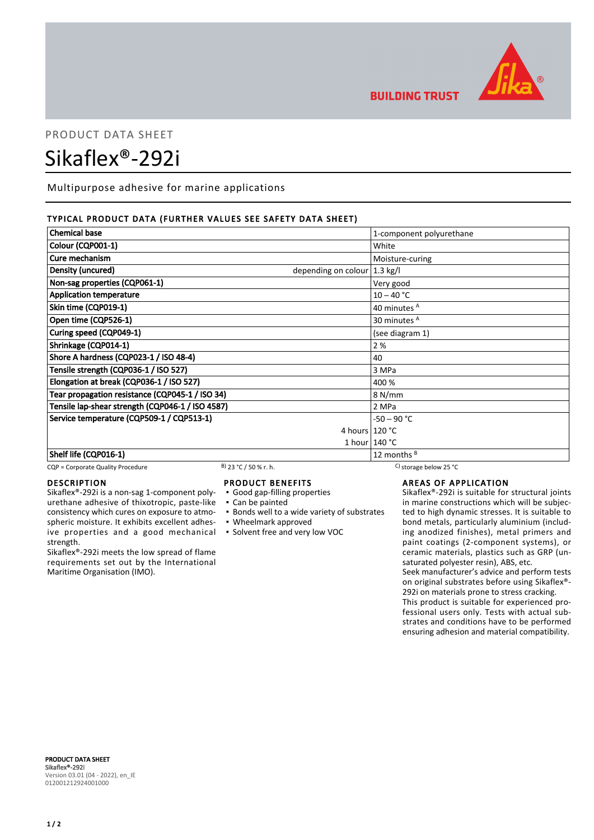

**BUILDING TRUST** 

# PRODUCT DATA SHEET Sikaflex®-292i

Multipurpose adhesive for marine applications

# TYPICAL PRODUCT DATA (FURTHER VALUES SEE SAFETY DATA SHEET)

| <b>Chemical base</b>                             | 1-component polyurethane       |  |
|--------------------------------------------------|--------------------------------|--|
| Colour (CQP001-1)                                | White                          |  |
| Cure mechanism                                   | Moisture-curing                |  |
| Density (uncured)                                | depending on colour   1.3 kg/l |  |
| Non-sag properties (CQP061-1)                    | Very good                      |  |
| <b>Application temperature</b>                   | $10 - 40 °C$                   |  |
| Skin time (CQP019-1)                             | 40 minutes <sup>A</sup>        |  |
| Open time (CQP526-1)                             | 30 minutes <sup>A</sup>        |  |
| Curing speed (CQP049-1)                          | (see diagram 1)                |  |
| Shrinkage (CQP014-1)                             | 2%                             |  |
| Shore A hardness (CQP023-1 / ISO 48-4)           | 40                             |  |
| Tensile strength (CQP036-1 / ISO 527)            | 3 MPa                          |  |
| Elongation at break (CQP036-1 / ISO 527)         | 400 %                          |  |
| Tear propagation resistance (CQP045-1 / ISO 34)  | 8 N/mm                         |  |
| Tensile lap-shear strength (CQP046-1 / ISO 4587) | 2 MPa                          |  |
| Service temperature (CQP509-1 / CQP513-1)        | $-50 - 90 °C$                  |  |
|                                                  | 4 hours $120 °C$               |  |
|                                                  | 1 hour $140 °C$                |  |
| Shelf life (CQP016-1)                            | 12 months $B$                  |  |

CQP = Corporate Quality Procedure B) 23 °C / 50 % r. h. C) storage below 25 °C

### DESCRIPTION

Sikaflex®-292i is a non-sag 1-component polyurethane adhesive of thixotropic, paste-like consistency which cures on exposure to atmospheric moisture. It exhibits excellent adhesive properties and a good mechanical strength.

Sikaflex®-292i meets the low spread of flame requirements set out by the International Maritime Organisation (IMO).

# PRODUCT BENEFITS

▪ Good gap-filling properties

- Can be painted
- Bonds well to a wide variety of substrates
- Wheelmark approved
- Solvent free and very low VOC

# AREAS OF APPLICATION

Sikaflex®-292i is suitable for structural joints in marine constructions which will be subjected to high dynamic stresses. It is suitable to bond metals, particularly aluminium (including anodized finishes), metal primers and paint coatings (2-component systems), or ceramic materials, plastics such as GRP (unsaturated polyester resin), ABS, etc.

Seek manufacturer's advice and perform tests on original substrates before using Sikaflex®- 292i on materials prone to stress cracking.

This product is suitable for experienced professional users only. Tests with actual substrates and conditions have to be performed ensuring adhesion and material compatibility.

PRODUCT DATA SHEET Sikaflex®-292i Version 03.01 (04 - 2022), en\_IE 012001212924001000